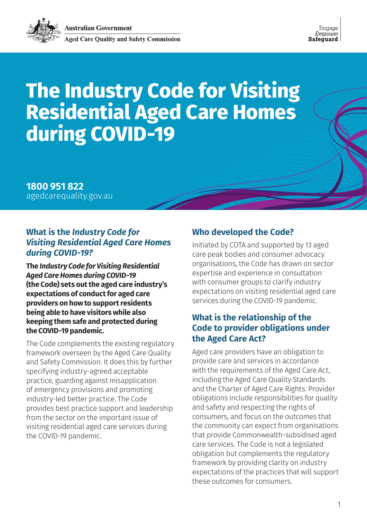

# **The Industry Code for Visiting Residential Aged Care Homes during COVID-19**

**1800 951 822**  [agedcarequality.gov.au](http://www.agedcarequality.gov.au)

### **What is the** *Industry Code for Visiting Residential Aged Care Homes during COVID-19?*

**The** *Industry Code for Visiting Residential Aged Care Homes during COVID-19* **(the Code) sets out the aged care industry's expectations of conduct for aged care providers on how to support residents being able to have visitors while also keeping them safe and protected during the COVID-19 pandemic.**

The Code complements the existing regulatory framework overseen by the Aged Care Quality and Safety Commission. It does this by further specifying industry-agreed acceptable practice, guarding against misapplication of emergency provisions and promoting industry-led better practice. The Code provides best practice support and leadership from the sector on the important issue of visiting residential aged care services during the COVID-19 pandemic.

### **Who developed the Code?**

Initiated by COTA and supported by 13 aged care peak bodies and consumer advocacy organisations, the Code has drawn on sector expertise and experience in consultation with consumer groups to clarify industry expectations on visiting residential aged care services during the COVID-19 pandemic.

# **What is the relationship of the Code to provider obligations under the Aged Care Act?**

Aged care providers have an obligation to provide care and services in accordance with the requirements of the Aged Care Act, including the Aged Care Quality Standards and the Charter of Aged Care Rights. Provider obligations include responsibilities for quality and safety and respecting the rights of consumers, and focus on the outcomes that the community can expect from organisations that provide Commonwealth-subsidised aged care services. The Code is not a legislated obligation but complements the regulatory framework by providing clarity on industry expectations of the practices that will support these outcomes for consumers.